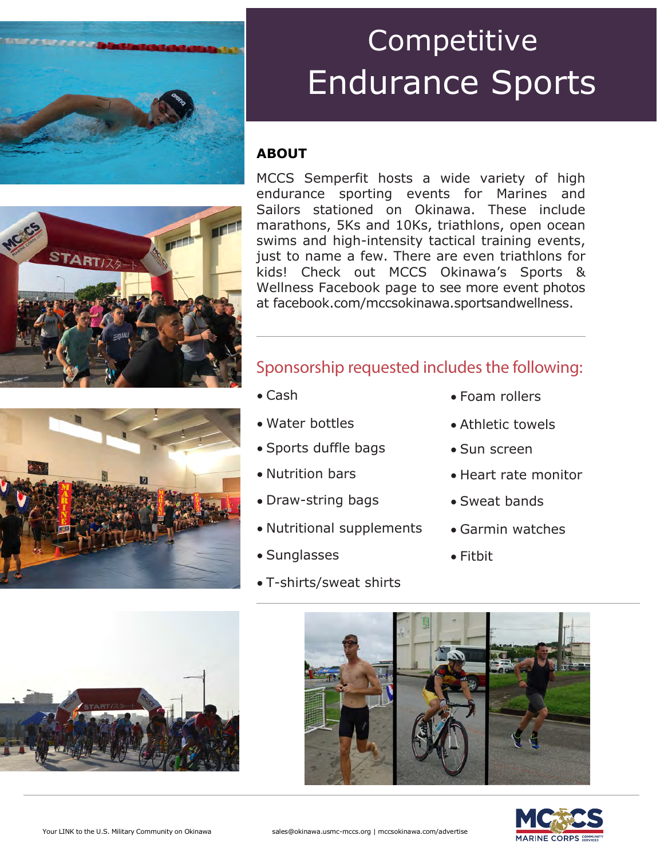

#### **ABOUT**



MCCS Semperfit hosts a wide variety of high endurance sporting events for Marines and Sailors stationed on Okinawa. These include marathons, 5Ks and 10Ks, triathlons, open ocean swims and high-intensity tactical training events, just to name a few. There are even triathlons for kids! Check out MCCS Okinawa's Sports & Wellness Facebook page to see more event photos at facebook.com/mccsokinawa.sportsandwellness.

#### Sponsorship requested includes the following:

- Cash
- Water bottles
- Sports duffle bags
- Nutrition bars
- Draw-string bags
- Nutritional supplements
- Sunglasses
- T-shirts/sweat shirts
- Foam rollers
- Athletic towels
- Sun screen
- Heart rate monitor
- Sweat bands
- Garmin watches
- Fitbit





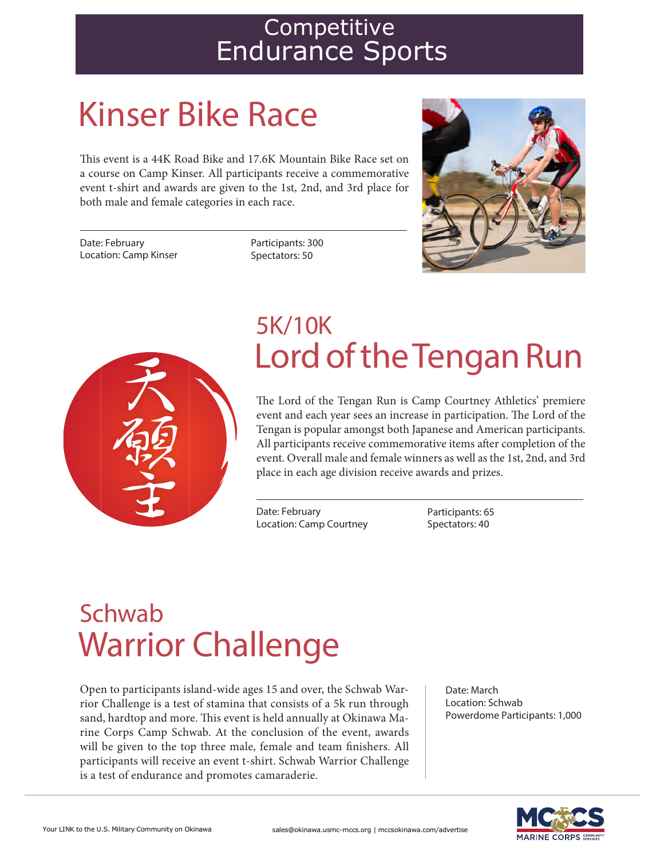# Kinser Bike Race

This event is a 44K Road Bike and 17.6K Mountain Bike Race set on a course on Camp Kinser. All participants receive a commemorative event t‐shirt and awards are given to the 1st, 2nd, and 3rd place for both male and female categories in each race.

Date: February Location: Camp Kinser Participants: 300 Spectators: 50





## Lord of the Tengan Run 5K/10K

The Lord of the Tengan Run is Camp Courtney Athletics' premiere event and each year sees an increase in participation. The Lord of the Tengan is popular amongst both Japanese and American participants. All participants receive commemorative items after completion of the event. Overall male and female winners as well as the 1st, 2nd, and 3rd place in each age division receive awards and prizes.

Date: February Location: Camp Courtney Participants: 65 Spectators: 40

## Warrior Challenge Schwab

Open to participants island-wide ages 15 and over, the Schwab Warrior Challenge is a test of stamina that consists of a 5k run through sand, hardtop and more. This event is held annually at Okinawa Marine Corps Camp Schwab. At the conclusion of the event, awards will be given to the top three male, female and team finishers. All participants will receive an event t-shirt. Schwab Warrior Challenge is a test of endurance and promotes camaraderie.

Date: March Location: Schwab Powerdome Participants: 1,000

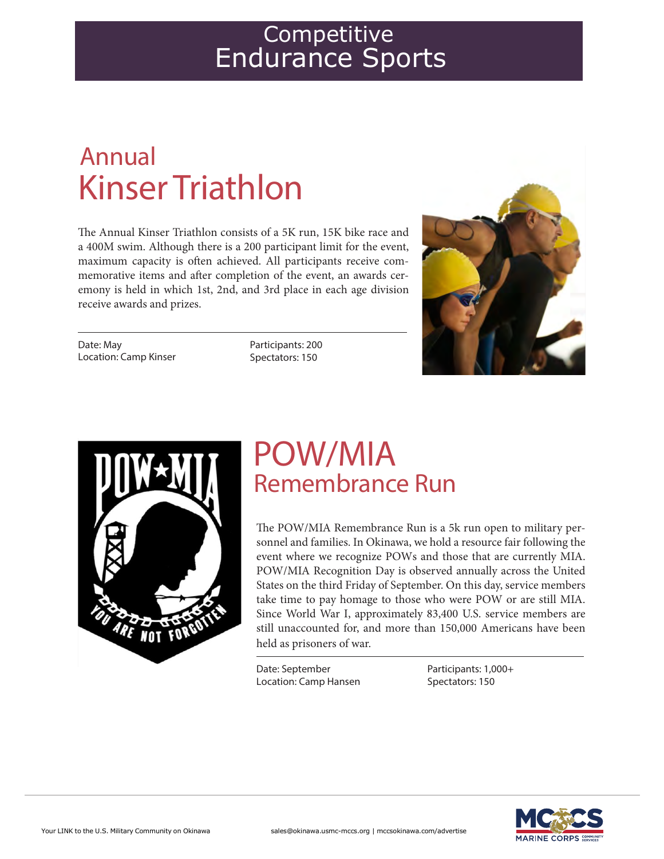## Kinser Triathlon Annual

The Annual Kinser Triathlon consists of a 5K run, 15K bike race and a 400M swim. Although there is a 200 participant limit for the event, maximum capacity is often achieved. All participants receive commemorative items and after completion of the event, an awards ceremony is held in which 1st, 2nd, and 3rd place in each age division receive awards and prizes.

Date: May Location: Camp Kinser Participants: 200 Spectators: 150





### POW/MIA Remembrance Run

The POW/MIA Remembrance Run is a 5k run open to military personnel and families. In Okinawa, we hold a resource fair following the event where we recognize POWs and those that are currently MIA. POW/MIA Recognition Day is observed annually across the United States on the third Friday of September. On this day, service members take time to pay homage to those who were POW or are still MIA. Since World War I, approximately 83,400 U.S. service members are still unaccounted for, and more than 150,000 Americans have been held as prisoners of war.

Date: September Location: Camp Hansen Participants: 1,000+ Spectators: 150